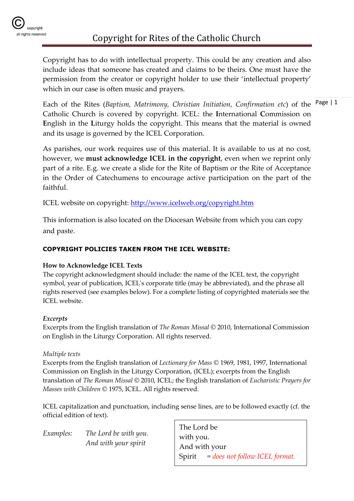

Copyright has to do with intellectual property. This could be any creation and also include ideas that someone has created and claims to be theirs. One must have the permission from the creator or copyright holder to use their 'intellectual property' which in our case is often music and prayers.

Each of the Rites (Baptism, Matrimony, Christian Initiation, Confirmation etc) of the <sup>Page</sup> | 1 Catholic Church is covered by copyright. ICEL: the **I**nternational **C**ommission on **E**nglish in the **L**iturgy holds the copyright. This means that the material is owned and its usage is governed by the ICEL Corporation.

As parishes, our work requires use of this material. It is available to us at no cost, however, we **must acknowledge ICEL in the copyright**, even when we reprint only part of a rite. E.g. we create a slide for the Rite of Baptism or the Rite of Acceptance in the Order of Catechumens to encourage active participation on the part of the faithful.

ICEL website on copyright:<http://www.icelweb.org/copyright.htm>

This information is also located on the Diocesan Website from which you can copy and paste.

#### **COPYRIGHT POLICIES TAKEN FROM THE ICEL WEBSITE:**

#### **How to Acknowledge ICEL Texts**

The copyright acknowledgment should include: the name of the ICEL text, the copyright symbol, year of publication, ICEL's corporate title (may be abbreviated), and the phrase all rights reserved (see examples below). For a complete listing of copyrighted materials see the ICEL website.

#### *Excerpts*

Excerpts from the English translation of *The Roman Missal* © 2010, International Commission on English in the Liturgy Corporation. All rights reserved.

#### *Multiple texts*

Excerpts from the English translation of *Lectionary for Mass* © 1969, 1981, 1997, International Commission on English in the Liturgy Corporation, (ICEL); excerpts from the English translation of *The Roman Missal* © 2010, ICEL; the English translation of *Eucharistic Prayers for Masses with Children* © 1975, ICEL. All rights reserved.

ICEL capitalization and punctuation, including sense lines, are to be followed exactly (cf. the official edition of text).

*Examples: The Lord be with you. And with your spirit*

The Lord be with you. And with your Spirit *= does not follow ICEL format.*